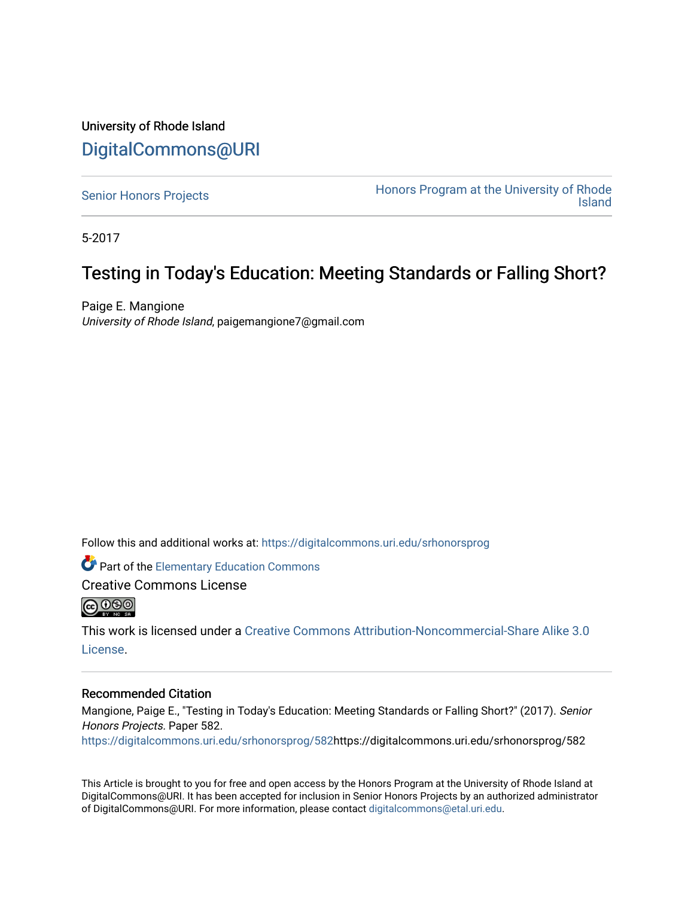## University of Rhode Island [DigitalCommons@URI](https://digitalcommons.uri.edu/)

[Senior Honors Projects](https://digitalcommons.uri.edu/srhonorsprog) **Honors Program at the University of Rhode** [Island](https://digitalcommons.uri.edu/honors_prog) 

5-2017

## Testing in Today's Education: Meeting Standards or Falling Short?

Paige E. Mangione University of Rhode Island, paigemangione7@gmail.com

Follow this and additional works at: [https://digitalcommons.uri.edu/srhonorsprog](https://digitalcommons.uri.edu/srhonorsprog?utm_source=digitalcommons.uri.edu%2Fsrhonorsprog%2F582&utm_medium=PDF&utm_campaign=PDFCoverPages)

Part of the [Elementary Education Commons](http://network.bepress.com/hgg/discipline/1378?utm_source=digitalcommons.uri.edu%2Fsrhonorsprog%2F582&utm_medium=PDF&utm_campaign=PDFCoverPages) 

Creative Commons License



This work is licensed under a [Creative Commons Attribution-Noncommercial-Share Alike 3.0](https://creativecommons.org/licenses/by-nc-sa/3.0/) [License.](https://creativecommons.org/licenses/by-nc-sa/3.0/)

## Recommended Citation

Mangione, Paige E., "Testing in Today's Education: Meeting Standards or Falling Short?" (2017). Senior Honors Projects. Paper 582.

[https://digitalcommons.uri.edu/srhonorsprog/582](https://digitalcommons.uri.edu/srhonorsprog/582?utm_source=digitalcommons.uri.edu%2Fsrhonorsprog%2F582&utm_medium=PDF&utm_campaign=PDFCoverPages)https://digitalcommons.uri.edu/srhonorsprog/582

This Article is brought to you for free and open access by the Honors Program at the University of Rhode Island at DigitalCommons@URI. It has been accepted for inclusion in Senior Honors Projects by an authorized administrator of DigitalCommons@URI. For more information, please contact [digitalcommons@etal.uri.edu](mailto:digitalcommons@etal.uri.edu).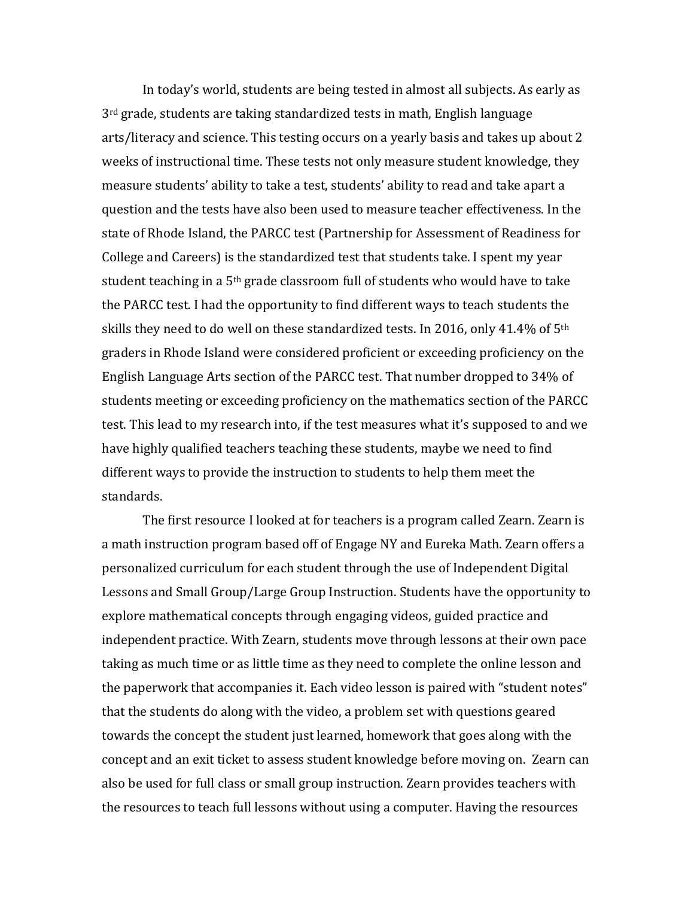In today's world, students are being tested in almost all subjects. As early as  $3<sup>rd</sup>$  grade, students are taking standardized tests in math, English language arts/literacy and science. This testing occurs on a yearly basis and takes up about 2 weeks of instructional time. These tests not only measure student knowledge, they measure students' ability to take a test, students' ability to read and take apart a question and the tests have also been used to measure teacher effectiveness. In the state of Rhode Island, the PARCC test (Partnership for Assessment of Readiness for College and Careers) is the standardized test that students take. I spent my year student teaching in a  $5<sup>th</sup>$  grade classroom full of students who would have to take the PARCC test. I had the opportunity to find different ways to teach students the skills they need to do well on these standardized tests. In 2016, only 41.4% of 5th graders in Rhode Island were considered proficient or exceeding proficiency on the English Language Arts section of the PARCC test. That number dropped to 34% of students meeting or exceeding proficiency on the mathematics section of the PARCC test. This lead to my research into, if the test measures what it's supposed to and we have highly qualified teachers teaching these students, maybe we need to find different ways to provide the instruction to students to help them meet the standards.

The first resource I looked at for teachers is a program called Zearn. Zearn is a math instruction program based off of Engage NY and Eureka Math. Zearn offers a personalized curriculum for each student through the use of Independent Digital Lessons and Small Group/Large Group Instruction. Students have the opportunity to explore mathematical concepts through engaging videos, guided practice and independent practice. With Zearn, students move through lessons at their own pace taking as much time or as little time as they need to complete the online lesson and the paperwork that accompanies it. Each video lesson is paired with "student notes" that the students do along with the video, a problem set with questions geared towards the concept the student just learned, homework that goes along with the concept and an exit ticket to assess student knowledge before moving on. Zearn can also be used for full class or small group instruction. Zearn provides teachers with the resources to teach full lessons without using a computer. Having the resources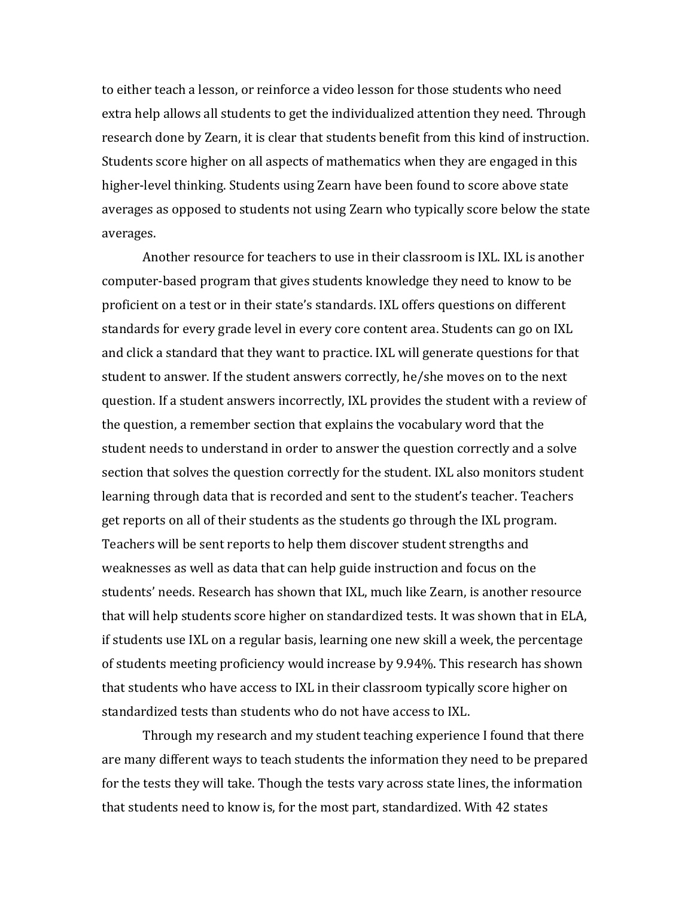to either teach a lesson, or reinforce a video lesson for those students who need extra help allows all students to get the individualized attention they need. Through research done by Zearn, it is clear that students benefit from this kind of instruction. Students score higher on all aspects of mathematics when they are engaged in this higher-level thinking. Students using Zearn have been found to score above state averages as opposed to students not using Zearn who typically score below the state averages.

Another resource for teachers to use in their classroom is IXL. IXL is another computer-based program that gives students knowledge they need to know to be proficient on a test or in their state's standards. IXL offers questions on different standards for every grade level in every core content area. Students can go on IXL and click a standard that they want to practice. IXL will generate questions for that student to answer. If the student answers correctly, he/she moves on to the next question. If a student answers incorrectly, IXL provides the student with a review of the question, a remember section that explains the vocabulary word that the student needs to understand in order to answer the question correctly and a solve section that solves the question correctly for the student. IXL also monitors student learning through data that is recorded and sent to the student's teacher. Teachers get reports on all of their students as the students go through the IXL program. Teachers will be sent reports to help them discover student strengths and weaknesses as well as data that can help guide instruction and focus on the students' needs. Research has shown that IXL, much like Zearn, is another resource that will help students score higher on standardized tests. It was shown that in ELA, if students use IXL on a regular basis, learning one new skill a week, the percentage of students meeting proficiency would increase by 9.94%. This research has shown that students who have access to IXL in their classroom typically score higher on standardized tests than students who do not have access to IXL.

Through my research and my student teaching experience I found that there are many different ways to teach students the information they need to be prepared for the tests they will take. Though the tests vary across state lines, the information that students need to know is, for the most part, standardized. With 42 states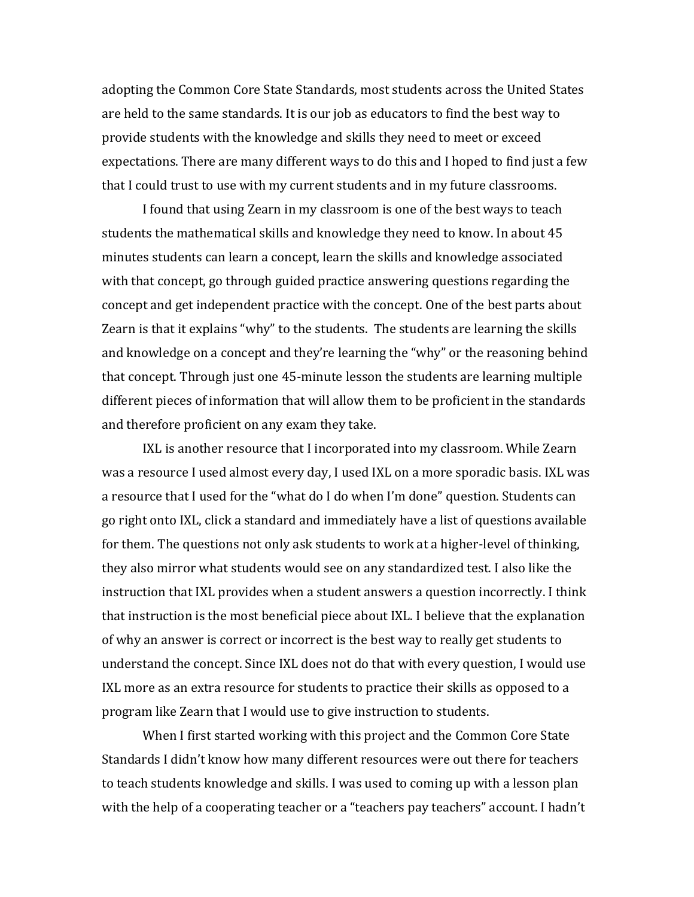adopting the Common Core State Standards, most students across the United States are held to the same standards. It is our job as educators to find the best way to provide students with the knowledge and skills they need to meet or exceed expectations. There are many different ways to do this and I hoped to find just a few that I could trust to use with my current students and in my future classrooms.

I found that using Zearn in my classroom is one of the best ways to teach students the mathematical skills and knowledge they need to know. In about 45 minutes students can learn a concept, learn the skills and knowledge associated with that concept, go through guided practice answering questions regarding the concept and get independent practice with the concept. One of the best parts about Zearn is that it explains "why" to the students. The students are learning the skills and knowledge on a concept and they're learning the "why" or the reasoning behind that concept. Through just one 45-minute lesson the students are learning multiple different pieces of information that will allow them to be proficient in the standards and therefore proficient on any exam they take.

IXL is another resource that I incorporated into my classroom. While Zearn was a resource I used almost every day, I used IXL on a more sporadic basis. IXL was a resource that I used for the "what do I do when I'm done" question. Students can go right onto IXL, click a standard and immediately have a list of questions available for them. The questions not only ask students to work at a higher-level of thinking, they also mirror what students would see on any standardized test. I also like the instruction that IXL provides when a student answers a question incorrectly. I think that instruction is the most beneficial piece about IXL. I believe that the explanation of why an answer is correct or incorrect is the best way to really get students to understand the concept. Since IXL does not do that with every question, I would use IXL more as an extra resource for students to practice their skills as opposed to a program like Zearn that I would use to give instruction to students.

When I first started working with this project and the Common Core State Standards I didn't know how many different resources were out there for teachers to teach students knowledge and skills. I was used to coming up with a lesson plan with the help of a cooperating teacher or a "teachers pay teachers" account. I hadn't